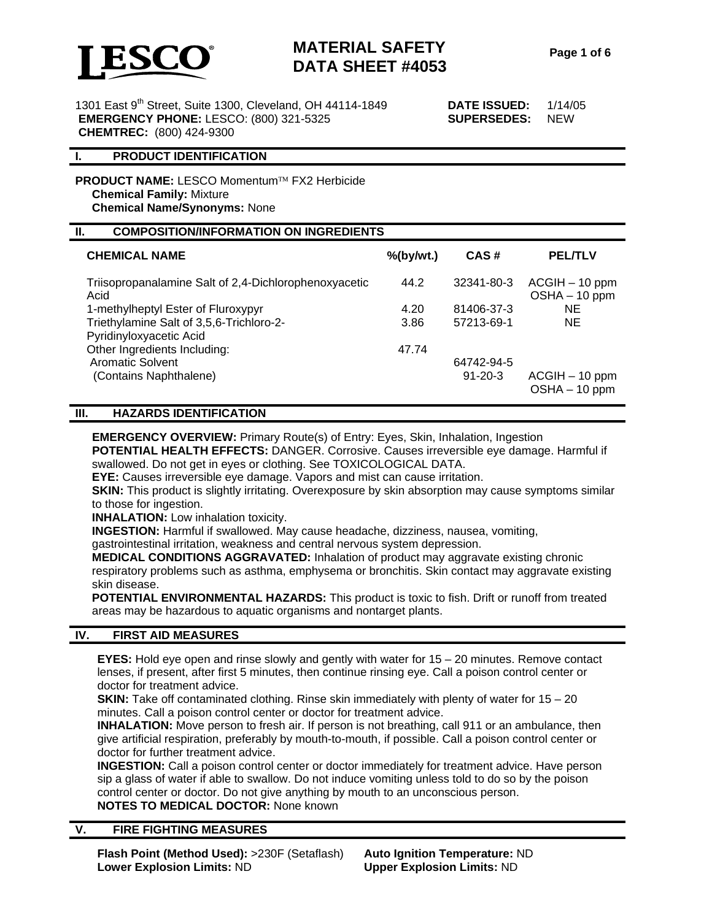

1301 East 9th Street, Suite 1300, Cleveland, OH 44114-1849 **DATE ISSUED:** 1/14/05  **EMERGENCY PHONE:** LESCO: (800) 321-5325 **SUPERSEDES:** NEW  **CHEMTREC:** (800) 424-9300

#### **I. PRODUCT IDENTIFICATION**

**PRODUCT NAME:** LESCO Momentum™ FX2 Herbicide **Chemical Family:** Mixture **Chemical Name/Synonyms:** None

#### **II. COMPOSITION/INFORMATION ON INGREDIENTS**

| <b>CHEMICAL NAME</b>                                          | $%$ (by/wt.) | CAS#          | <b>PEL/TLV</b>                      |  |
|---------------------------------------------------------------|--------------|---------------|-------------------------------------|--|
| Triisopropanalamine Salt of 2,4-Dichlorophenoxyacetic<br>Acid | 44.2         | 32341-80-3    | $ACGIH - 10$ ppm<br>$OSHA - 10 ppm$ |  |
| 1-methylheptyl Ester of Fluroxypyr                            | 4.20         | 81406-37-3    | ΝE                                  |  |
| Triethylamine Salt of 3,5,6-Trichloro-2-                      | 3.86         | 57213-69-1    | <b>NE</b>                           |  |
| Pyridinyloxyacetic Acid                                       |              |               |                                     |  |
| Other Ingredients Including:                                  | 47.74        |               |                                     |  |
| <b>Aromatic Solvent</b>                                       |              | 64742-94-5    |                                     |  |
| (Contains Naphthalene)                                        |              | $91 - 20 - 3$ | $ACGIH - 10$ ppm<br>$OSHA - 10 ppm$ |  |

#### **III. HAZARDS IDENTIFICATION**

**EMERGENCY OVERVIEW:** Primary Route(s) of Entry: Eyes, Skin, Inhalation, Ingestion **POTENTIAL HEALTH EFFECTS:** DANGER. Corrosive. Causes irreversible eye damage. Harmful if swallowed. Do not get in eyes or clothing. See TOXICOLOGICAL DATA.

**EYE:** Causes irreversible eye damage. Vapors and mist can cause irritation.

**SKIN:** This product is slightly irritating. Overexposure by skin absorption may cause symptoms similar to those for ingestion.

**INHALATION:** Low inhalation toxicity.

**INGESTION:** Harmful if swallowed. May cause headache, dizziness, nausea, vomiting,

gastrointestinal irritation, weakness and central nervous system depression.

**MEDICAL CONDITIONS AGGRAVATED:** Inhalation of product may aggravate existing chronic respiratory problems such as asthma, emphysema or bronchitis. Skin contact may aggravate existing skin disease.

**POTENTIAL ENVIRONMENTAL HAZARDS:** This product is toxic to fish. Drift or runoff from treated areas may be hazardous to aquatic organisms and nontarget plants.

#### **IV. FIRST AID MEASURES**

**EYES:** Hold eye open and rinse slowly and gently with water for 15 – 20 minutes. Remove contact lenses, if present, after first 5 minutes, then continue rinsing eye. Call a poison control center or doctor for treatment advice.

**SKIN:** Take off contaminated clothing. Rinse skin immediately with plenty of water for 15 – 20 minutes. Call a poison control center or doctor for treatment advice.

**INHALATION:** Move person to fresh air. If person is not breathing, call 911 or an ambulance, then give artificial respiration, preferably by mouth-to-mouth, if possible. Call a poison control center or doctor for further treatment advice.

**INGESTION:** Call a poison control center or doctor immediately for treatment advice. Have person sip a glass of water if able to swallow. Do not induce vomiting unless told to do so by the poison control center or doctor. Do not give anything by mouth to an unconscious person. **NOTES TO MEDICAL DOCTOR:** None known

#### **V. FIRE FIGHTING MEASURES**

**Flash Point (Method Used):** >230F (Setaflash) **Auto Ignition Temperature:** ND **Lower Explosion Limits:** ND **Upper Explosion Limits:** ND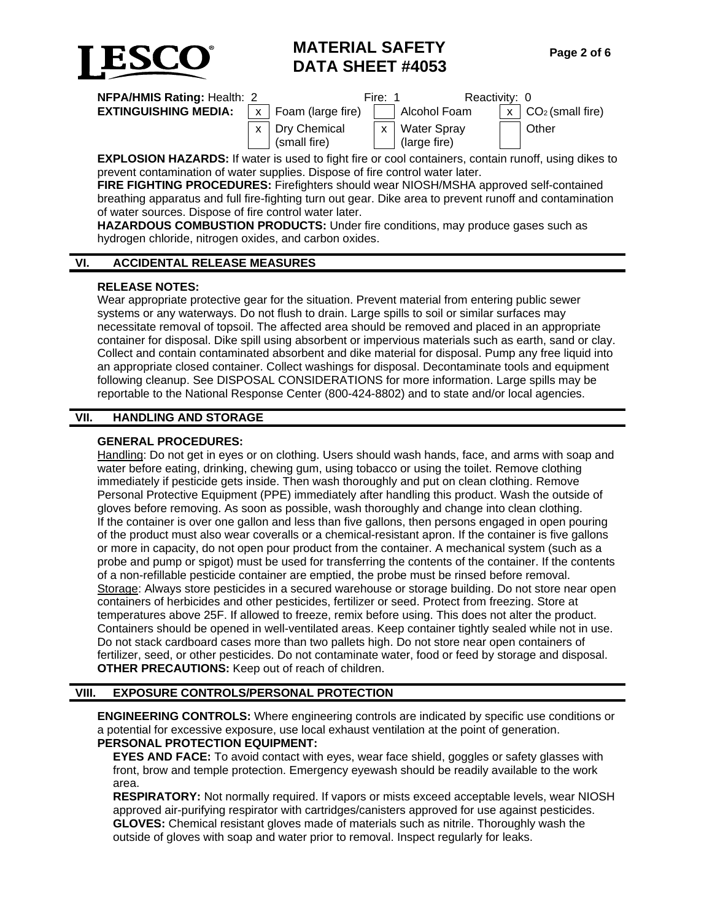

| <b>NFPA/HMIS Rating: Health: 2</b>                                                                 |  |                                | Fire: 1 | Reactivity: 0                     |  |                            |  |  |
|----------------------------------------------------------------------------------------------------|--|--------------------------------|---------|-----------------------------------|--|----------------------------|--|--|
| <b>EXTINGUISHING MEDIA:</b> $\vert x \vert$ Foam (large fire)                                      |  |                                |         | Alcohol Foam                      |  | $x \mid CO_2$ (small fire) |  |  |
|                                                                                                    |  | x Dry Chemical<br>(small fire) |         | x   Water Spray<br>  (large fire) |  | <b>Other</b>               |  |  |
| FVBLOCION ULTIRDO. Il watan in wand ta finkt fina an anal agatainana santain mwaffi waing dilega t |  |                                |         |                                   |  |                            |  |  |

**EXPLOSION HAZARDS:** If water is used to fight fire or cool containers, contain runoff, using dikes to prevent contamination of water supplies. Dispose of fire control water later.

**FIRE FIGHTING PROCEDURES:** Firefighters should wear NIOSH/MSHA approved self-contained breathing apparatus and full fire-fighting turn out gear. Dike area to prevent runoff and contamination of water sources. Dispose of fire control water later.

**HAZARDOUS COMBUSTION PRODUCTS:** Under fire conditions, may produce gases such as hydrogen chloride, nitrogen oxides, and carbon oxides.

### **VI. ACCIDENTAL RELEASE MEASURES**

### **RELEASE NOTES:**

Wear appropriate protective gear for the situation. Prevent material from entering public sewer systems or any waterways. Do not flush to drain. Large spills to soil or similar surfaces may necessitate removal of topsoil. The affected area should be removed and placed in an appropriate container for disposal. Dike spill using absorbent or impervious materials such as earth, sand or clay. Collect and contain contaminated absorbent and dike material for disposal. Pump any free liquid into an appropriate closed container. Collect washings for disposal. Decontaminate tools and equipment following cleanup. See DISPOSAL CONSIDERATIONS for more information. Large spills may be reportable to the National Response Center (800-424-8802) and to state and/or local agencies.

## **VII. HANDLING AND STORAGE**

### **GENERAL PROCEDURES:**

Handling: Do not get in eyes or on clothing. Users should wash hands, face, and arms with soap and water before eating, drinking, chewing gum, using tobacco or using the toilet. Remove clothing immediately if pesticide gets inside. Then wash thoroughly and put on clean clothing. Remove Personal Protective Equipment (PPE) immediately after handling this product. Wash the outside of gloves before removing. As soon as possible, wash thoroughly and change into clean clothing. If the container is over one gallon and less than five gallons, then persons engaged in open pouring of the product must also wear coveralls or a chemical-resistant apron. If the container is five gallons or more in capacity, do not open pour product from the container. A mechanical system (such as a probe and pump or spigot) must be used for transferring the contents of the container. If the contents of a non-refillable pesticide container are emptied, the probe must be rinsed before removal. Storage: Always store pesticides in a secured warehouse or storage building. Do not store near open containers of herbicides and other pesticides, fertilizer or seed. Protect from freezing. Store at temperatures above 25F. If allowed to freeze, remix before using. This does not alter the product. Containers should be opened in well-ventilated areas. Keep container tightly sealed while not in use. Do not stack cardboard cases more than two pallets high. Do not store near open containers of fertilizer, seed, or other pesticides. Do not contaminate water, food or feed by storage and disposal. **OTHER PRECAUTIONS:** Keep out of reach of children.

## **VIII. EXPOSURE CONTROLS/PERSONAL PROTECTION**

**ENGINEERING CONTROLS:** Where engineering controls are indicated by specific use conditions or a potential for excessive exposure, use local exhaust ventilation at the point of generation. **PERSONAL PROTECTION EQUIPMENT:**

**EYES AND FACE:** To avoid contact with eyes, wear face shield, goggles or safety glasses with front, brow and temple protection. Emergency eyewash should be readily available to the work area.

**RESPIRATORY:** Not normally required. If vapors or mists exceed acceptable levels, wear NIOSH approved air-purifying respirator with cartridges/canisters approved for use against pesticides. **GLOVES:** Chemical resistant gloves made of materials such as nitrile. Thoroughly wash the outside of gloves with soap and water prior to removal. Inspect regularly for leaks.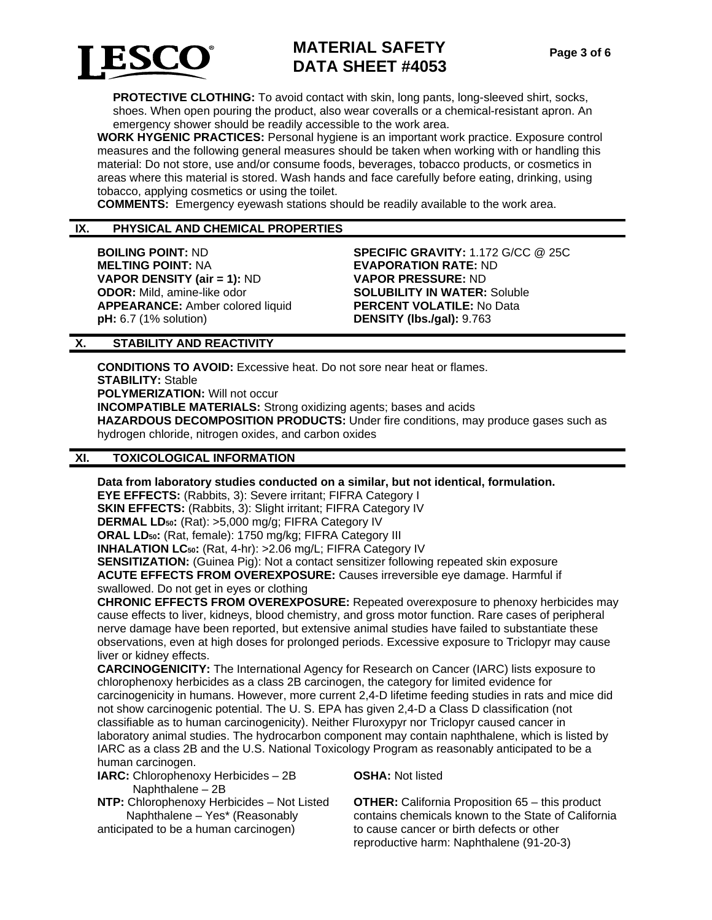

**PROTECTIVE CLOTHING:** To avoid contact with skin, long pants, long-sleeved shirt, socks, shoes. When open pouring the product, also wear coveralls or a chemical-resistant apron. An emergency shower should be readily accessible to the work area.

**WORK HYGENIC PRACTICES:** Personal hygiene is an important work practice. Exposure control measures and the following general measures should be taken when working with or handling this material: Do not store, use and/or consume foods, beverages, tobacco products, or cosmetics in areas where this material is stored. Wash hands and face carefully before eating, drinking, using tobacco, applying cosmetics or using the toilet.

**COMMENTS:** Emergency eyewash stations should be readily available to the work area.

#### **IX. PHYSICAL AND CHEMICAL PROPERTIES**

**BOILING POINT:** ND **SPECIFIC GRAVITY:** 1.172 G/CC @ 25C **MELTING POINT:** NA **EVAPORATION RATE:** ND **VAPOR DENSITY (air = 1):** ND **VAPOR PRESSURE:** ND **ODOR:** Mild, amine-like odor **SOLUBILITY IN WATER:** Soluble **APPEARANCE:** Amber colored liquid **PERCENT VOLATILE:** No Data **pH:** 6.7 (1% solution) **DENSITY (lbs./gal):** 9.763

#### **X. STABILITY AND REACTIVITY**

**CONDITIONS TO AVOID:** Excessive heat. Do not sore near heat or flames. **STABILITY:** Stable **POLYMERIZATION:** Will not occur **INCOMPATIBLE MATERIALS:** Strong oxidizing agents; bases and acids **HAZARDOUS DECOMPOSITION PRODUCTS:** Under fire conditions, may produce gases such as hydrogen chloride, nitrogen oxides, and carbon oxides

#### **XI. TOXICOLOGICAL INFORMATION**

**Data from laboratory studies conducted on a similar, but not identical, formulation.** 

**EYE EFFECTS:** (Rabbits, 3): Severe irritant; FIFRA Category I **SKIN EFFECTS:** (Rabbits, 3): Slight irritant; FIFRA Category IV **DERMAL LD50:** (Rat): >5,000 mg/g; FIFRA Category IV **ORAL LD50:** (Rat, female): 1750 mg/kg; FIFRA Category III **INHALATION LC50:** (Rat, 4-hr): >2.06 mg/L; FIFRA Category IV **SENSITIZATION:** (Guinea Pig): Not a contact sensitizer following repeated skin exposure **ACUTE EFFECTS FROM OVEREXPOSURE:** Causes irreversible eye damage. Harmful if

swallowed. Do not get in eyes or clothing

**CHRONIC EFFECTS FROM OVEREXPOSURE:** Repeated overexposure to phenoxy herbicides may cause effects to liver, kidneys, blood chemistry, and gross motor function. Rare cases of peripheral nerve damage have been reported, but extensive animal studies have failed to substantiate these observations, even at high doses for prolonged periods. Excessive exposure to Triclopyr may cause liver or kidney effects.

**CARCINOGENICITY:** The International Agency for Research on Cancer (IARC) lists exposure to chlorophenoxy herbicides as a class 2B carcinogen, the category for limited evidence for carcinogenicity in humans. However, more current 2,4-D lifetime feeding studies in rats and mice did not show carcinogenic potential. The U. S. EPA has given 2,4-D a Class D classification (not classifiable as to human carcinogenicity). Neither Fluroxypyr nor Triclopyr caused cancer in laboratory animal studies. The hydrocarbon component may contain naphthalene, which is listed by IARC as a class 2B and the U.S. National Toxicology Program as reasonably anticipated to be a human carcinogen.

**IARC:** Chlorophenoxy Herbicides – 2B Naphthalene – 2B

**NTP:** Chlorophenoxy Herbicides – Not Listed Naphthalene – Yes\* (Reasonably

anticipated to be a human carcinogen)

**OSHA:** Not listed

**OTHER:** California Proposition 65 – this product contains chemicals known to the State of California to cause cancer or birth defects or other reproductive harm: Naphthalene (91-20-3)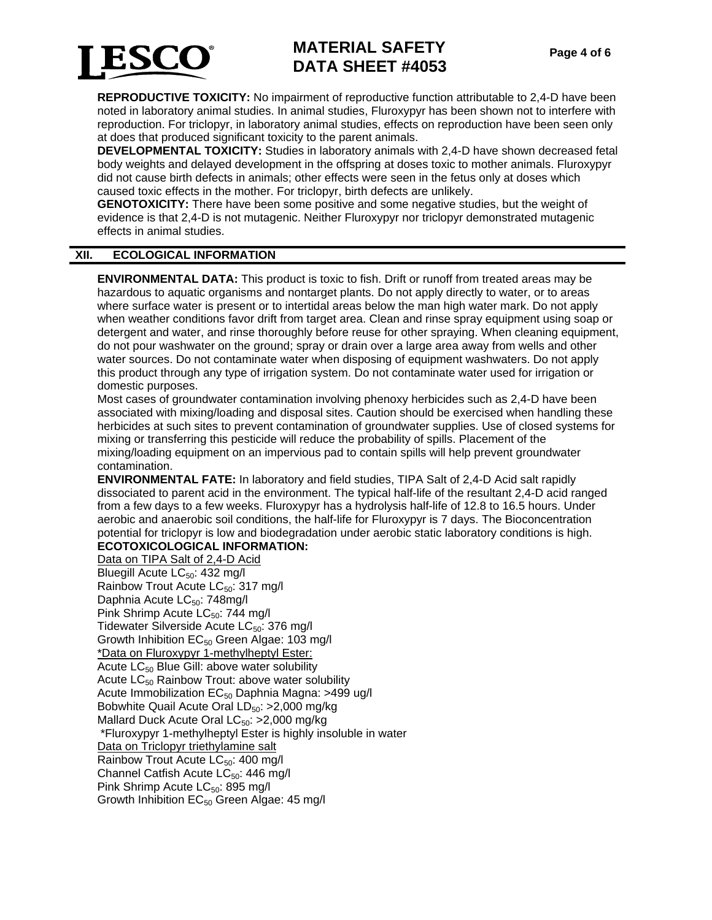

**REPRODUCTIVE TOXICITY:** No impairment of reproductive function attributable to 2,4-D have been noted in laboratory animal studies. In animal studies, Fluroxypyr has been shown not to interfere with reproduction. For triclopyr, in laboratory animal studies, effects on reproduction have been seen only at does that produced significant toxicity to the parent animals.

**DEVELOPMENTAL TOXICITY:** Studies in laboratory animals with 2,4-D have shown decreased fetal body weights and delayed development in the offspring at doses toxic to mother animals. Fluroxypyr did not cause birth defects in animals; other effects were seen in the fetus only at doses which caused toxic effects in the mother. For triclopyr, birth defects are unlikely.

**GENOTOXICITY:** There have been some positive and some negative studies, but the weight of evidence is that 2,4-D is not mutagenic. Neither Fluroxypyr nor triclopyr demonstrated mutagenic effects in animal studies.

## **XII. ECOLOGICAL INFORMATION**

**ENVIRONMENTAL DATA:** This product is toxic to fish. Drift or runoff from treated areas may be hazardous to aquatic organisms and nontarget plants. Do not apply directly to water, or to areas where surface water is present or to intertidal areas below the man high water mark. Do not apply when weather conditions favor drift from target area. Clean and rinse spray equipment using soap or detergent and water, and rinse thoroughly before reuse for other spraying. When cleaning equipment, do not pour washwater on the ground; spray or drain over a large area away from wells and other water sources. Do not contaminate water when disposing of equipment washwaters. Do not apply this product through any type of irrigation system. Do not contaminate water used for irrigation or domestic purposes.

Most cases of groundwater contamination involving phenoxy herbicides such as 2,4-D have been associated with mixing/loading and disposal sites. Caution should be exercised when handling these herbicides at such sites to prevent contamination of groundwater supplies. Use of closed systems for mixing or transferring this pesticide will reduce the probability of spills. Placement of the mixing/loading equipment on an impervious pad to contain spills will help prevent groundwater contamination.

**ENVIRONMENTAL FATE:** In laboratory and field studies, TIPA Salt of 2,4-D Acid salt rapidly dissociated to parent acid in the environment. The typical half-life of the resultant 2,4-D acid ranged from a few days to a few weeks. Fluroxypyr has a hydrolysis half-life of 12.8 to 16.5 hours. Under aerobic and anaerobic soil conditions, the half-life for Fluroxypyr is 7 days. The Bioconcentration potential for triclopyr is low and biodegradation under aerobic static laboratory conditions is high.

### **ECOTOXICOLOGICAL INFORMATION:**

Data on TIPA Salt of 2,4-D Acid Bluegill Acute  $LC_{50}$ : 432 mg/l Rainbow Trout Acute LC<sub>50</sub>: 317 mg/l Daphnia Acute LC<sub>50</sub>: 748mg/l Pink Shrimp Acute LC<sub>50</sub>: 744 mg/l Tidewater Silverside Acute LC<sub>50</sub>: 376 mg/l Growth Inhibition  $EC_{50}$  Green Algae: 103 mg/l \*Data on Fluroxypyr 1-methylheptyl Ester: Acute  $LC_{50}$  Blue Gill: above water solubility Acute  $LC_{50}$  Rainbow Trout: above water solubility Acute Immobilization  $EC_{50}$  Daphnia Magna: >499 ug/l Bobwhite Quail Acute Oral  $LD_{50}$ : >2,000 mg/kg Mallard Duck Acute Oral  $LC_{50}$ : >2,000 mg/kg \*Fluroxypyr 1-methylheptyl Ester is highly insoluble in water Data on Triclopyr triethylamine salt Rainbow Trout Acute LC<sub>50</sub>: 400 mg/l Channel Catfish Acute  $LC_{50}$ : 446 mg/l Pink Shrimp Acute  $LC_{50}$ : 895 mg/l Growth Inhibition  $EC_{50}$  Green Algae: 45 mg/l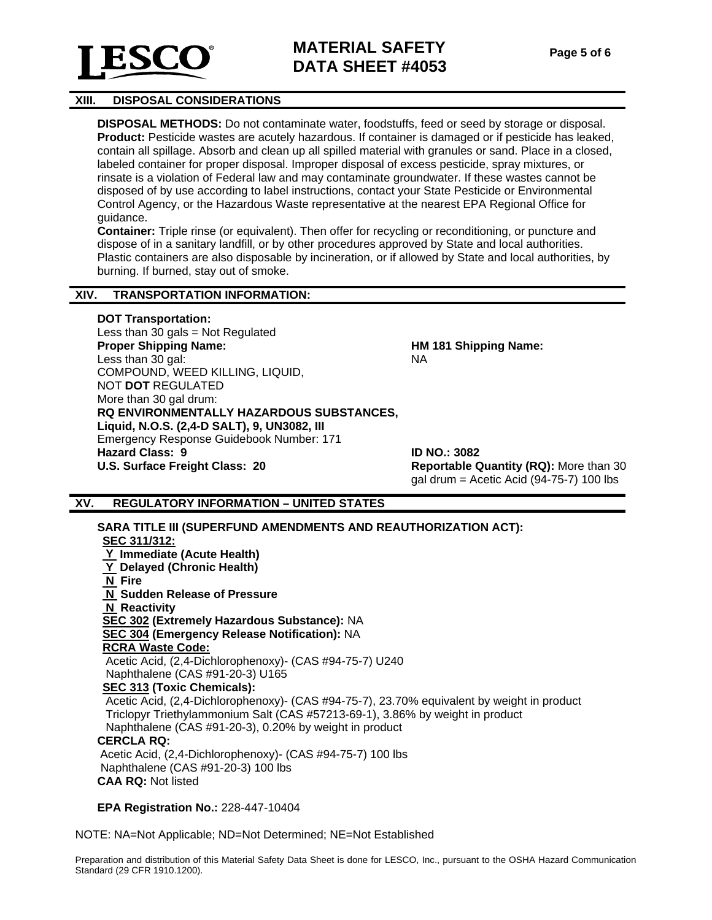

#### **XIII. DISPOSAL CONSIDERATIONS**

**DISPOSAL METHODS:** Do not contaminate water, foodstuffs, feed or seed by storage or disposal. **Product:** Pesticide wastes are acutely hazardous. If container is damaged or if pesticide has leaked, contain all spillage. Absorb and clean up all spilled material with granules or sand. Place in a closed, labeled container for proper disposal. Improper disposal of excess pesticide, spray mixtures, or rinsate is a violation of Federal law and may contaminate groundwater. If these wastes cannot be disposed of by use according to label instructions, contact your State Pesticide or Environmental Control Agency, or the Hazardous Waste representative at the nearest EPA Regional Office for guidance.

**Container:** Triple rinse (or equivalent). Then offer for recycling or reconditioning, or puncture and dispose of in a sanitary landfill, or by other procedures approved by State and local authorities. Plastic containers are also disposable by incineration, or if allowed by State and local authorities, by burning. If burned, stay out of smoke.

#### **XIV. TRANSPORTATION INFORMATION:**

#### **DOT Transportation:**

Less than 30 gals = Not Regulated **Proper Shipping Name:** Less than 30 gal: COMPOUND, WEED KILLING, LIQUID, NOT **DOT** REGULATED More than 30 gal drum: **RQ ENVIRONMENTALLY HAZARDOUS SUBSTANCES, Liquid, N.O.S. (2,4-D SALT), 9, UN3082, III**  Emergency Response Guidebook Number: 171 **Hazard Class: 9 ID NO.: 3082 U.S. Surface Freight Class: 20 Reportable Quantity (RQ):** More than 30

**HM 181 Shipping Name:** NA

gal drum = Acetic Acid (94-75-7) 100 lbs

#### **XV. REGULATORY INFORMATION – UNITED STATES**

**SARA TITLE III (SUPERFUND AMENDMENTS AND REAUTHORIZATION ACT): SEC 311/312: Y Immediate (Acute Health) Y Delayed (Chronic Health) N Fire N Sudden Release of Pressure N Reactivity SEC 302 (Extremely Hazardous Substance):** NA **SEC 304 (Emergency Release Notification):** NA **RCRA Waste Code:** Acetic Acid, (2,4-Dichlorophenoxy)- (CAS #94-75-7) U240 Naphthalene (CAS #91-20-3) U165 **SEC 313 (Toxic Chemicals):** Acetic Acid, (2,4-Dichlorophenoxy)- (CAS #94-75-7), 23.70% equivalent by weight in product Triclopyr Triethylammonium Salt (CAS #57213-69-1), 3.86% by weight in product Naphthalene (CAS #91-20-3), 0.20% by weight in product **CERCLA RQ:**  Acetic Acid, (2,4-Dichlorophenoxy)- (CAS #94-75-7) 100 lbs Naphthalene (CAS #91-20-3) 100 lbs **CAA RQ:** Not listed

#### **EPA Registration No.:** 228-447-10404

NOTE: NA=Not Applicable; ND=Not Determined; NE=Not Established